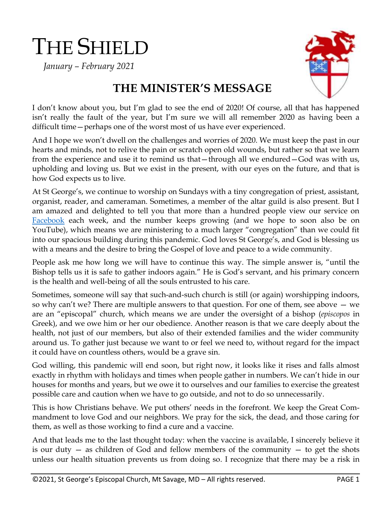# THE SHIELD

 *January – February 2021*



## **THE MINISTER'S MESSAGE**

I don't know about you, but I'm glad to see the end of 2020! Of course, all that has happened isn't really the fault of the year, but I'm sure we will all remember 2020 as having been a difficult time — perhaps one of the worst most of us have ever experienced.

And I hope we won't dwell on the challenges and worries of 2020. We must keep the past in our hearts and minds, not to relive the pain or scratch open old wounds, but rather so that we learn from the experience and use it to remind us that—through all we endured—God was with us, upholding and loving us. But we exist in the present, with our eyes on the future, and that is how God expects us to live.

At St George's, we continue to worship on Sundays with a tiny congregation of priest, assistant, organist, reader, and cameraman. Sometimes, a member of the altar guild is also present. But I am amazed and delighted to tell you that more than a hundred people view our service on [Facebook](https://www.facebook.com/stgeorgesmtsavage) each week, and the number keeps growing (and we hope to soon also be on YouTube), which means we are ministering to a much larger "congregation" than we could fit into our spacious building during this pandemic. God loves St George's, and God is blessing us with a means and the desire to bring the Gospel of love and peace to a wide community.

People ask me how long we will have to continue this way. The simple answer is, "until the Bishop tells us it is safe to gather indoors again." He is God's servant, and his primary concern is the health and well-being of all the souls entrusted to his care.

Sometimes, someone will say that such-and-such church is still (or again) worshipping indoors, so why can't we? There are multiple answers to that question. For one of them, see above — we are an "episcopal" church, which means we are under the oversight of a bishop (*episcopos* in Greek), and we owe him or her our obedience. Another reason is that we care deeply about the health, not just of our members, but also of their extended families and the wider community around us. To gather just because we want to or feel we need to, without regard for the impact it could have on countless others, would be a grave sin.

God willing, this pandemic will end soon, but right now, it looks like it rises and falls almost exactly in rhythm with holidays and times when people gather in numbers. We can't hide in our houses for months and years, but we owe it to ourselves and our families to exercise the greatest possible care and caution when we have to go outside, and not to do so unnecessarily.

This is how Christians behave. We put others' needs in the forefront. We keep the Great Commandment to love God and our neighbors. We pray for the sick, the dead, and those caring for them, as well as those working to find a cure and a vaccine.

And that leads me to the last thought today: when the vaccine is available, I sincerely believe it is our duty  $-$  as children of God and fellow members of the community  $-$  to get the shots unless our health situation prevents us from doing so. I recognize that there may be a risk in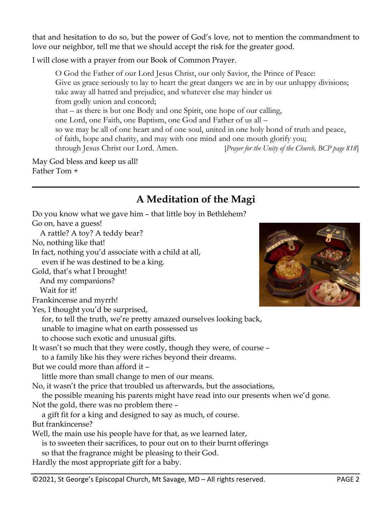that and hesitation to do so, but the power of God's love, not to mention the commandment to love our neighbor, tell me that we should accept the risk for the greater good.

I will close with a prayer from our Book of Common Prayer.

O God the Father of our Lord Jesus Christ, our only Savior, the Prince of Peace: Give us grace seriously to lay to heart the great dangers we are in by our unhappy divisions; take away all hatred and prejudice, and whatever else may hinder us from godly union and concord; that – as there is but one Body and one Spirit, one hope of our calling, one Lord, one Faith, one Baptism, one God and Father of us all – so we may be all of one heart and of one soul, united in one holy bond of truth and peace, of faith, hope and charity, and may with one mind and one mouth glorify you; through Jesus Christ our Lord. Amen. [*Prayer for the Unity of the Church, BCP page 818*]

May God bless and keep us all! Father Tom +

## **A Meditation of the Magi**

| Do you know what we gave him - that little boy in Bethlehem?                       |
|------------------------------------------------------------------------------------|
| Go on, have a guess!                                                               |
| A rattle? A toy? A teddy bear?                                                     |
| No, nothing like that!                                                             |
| In fact, nothing you'd associate with a child at all,                              |
| even if he was destined to be a king.                                              |
| Gold, that's what I brought!                                                       |
| And my companions?                                                                 |
| Wait for it!                                                                       |
| Frankincense and myrrh!                                                            |
| Yes, I thought you'd be surprised,                                                 |
| for, to tell the truth, we're pretty amazed ourselves looking back,                |
| unable to imagine what on earth possessed us                                       |
| to choose such exotic and unusual gifts.                                           |
| It wasn't so much that they were costly, though they were, of course -             |
| to a family like his they were riches beyond their dreams.                         |
| But we could more than afford it -                                                 |
| little more than small change to men of our means.                                 |
| No, it wasn't the price that troubled us afterwards, but the associations,         |
| the possible meaning his parents might have read into our presents when we'd gone. |
| Not the gold, there was no problem there -                                         |
| a gift fit for a king and designed to say as much, of course.                      |
| But frankincense?                                                                  |
| Well, the main use his people have for that, as we learned later,                  |
| is to sweeten their sacrifices, to pour out on to their burnt offerings            |
| so that the fragrance might be pleasing to their God.                              |
| Hardly the most appropriate gift for a baby.                                       |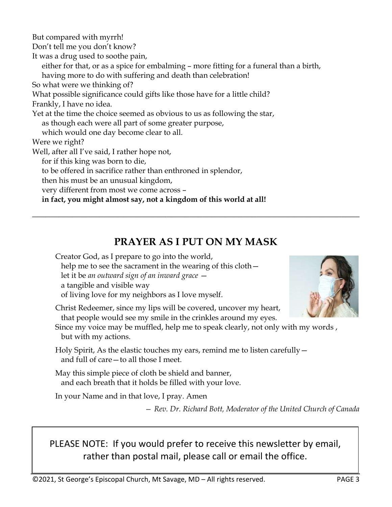But compared with myrrh! Don't tell me you don't know? It was a drug used to soothe pain, either for that, or as a spice for embalming – more fitting for a funeral than a birth, having more to do with suffering and death than celebration! So what were we thinking of? What possible significance could gifts like those have for a little child? Frankly, I have no idea. Yet at the time the choice seemed as obvious to us as following the star, as though each were all part of some greater purpose, which would one day become clear to all. Were we right? Well, after all I've said, I rather hope not, for if this king was born to die, to be offered in sacrifice rather than enthroned in splendor, then his must be an unusual kingdom, very different from most we come across –  **in fact, you might almost say, not a kingdom of this world at all!**

## **PRAYER AS I PUT ON MY MASK**

**\_\_\_\_\_\_\_\_\_\_\_\_\_\_\_\_\_\_\_\_\_\_\_\_\_\_\_\_\_\_\_\_\_\_\_\_\_\_\_\_\_\_\_\_\_\_\_\_\_\_\_\_\_\_\_\_\_\_\_\_\_\_\_\_\_\_\_\_\_\_\_\_\_**

Creator God, as I prepare to go into the world, help me to see the sacrament in the wearing of this cloth – let it be *an outward sign of an inward grace* a tangible and visible way of living love for my neighbors as I love myself.

Christ Redeemer, since my lips will be covered, uncover my heart, that people would see my smile in the crinkles around my eyes.

Since my voice may be muffled, help me to speak clearly, not only with my words , but with my actions.

Holy Spirit, As the elastic touches my ears, remind me to listen carefully and full of care—to all those I meet.

May this simple piece of cloth be shield and banner, and each breath that it holds be filled with your love.

In your Name and in that love, I pray. Amen

*— Rev. Dr. Richard Bott, Moderator of the United Church of Canada*

PLEASE NOTE: If you would prefer to receive this newsletter by email, rather than postal mail, please call or email the office.

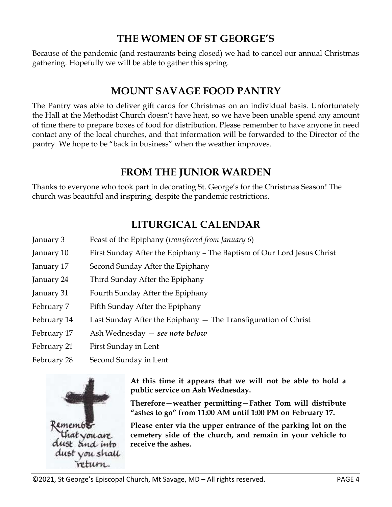#### **THE WOMEN OF ST GEORGE'S**

Because of the pandemic (and restaurants being closed) we had to cancel our annual Christmas gathering. Hopefully we will be able to gather this spring.

#### **MOUNT SAVAGE FOOD PANTRY**

The Pantry was able to deliver gift cards for Christmas on an individual basis. Unfortunately the Hall at the Methodist Church doesn't have heat, so we have been unable spend any amount of time there to prepare boxes of food for distribution. Please remember to have anyone in need contact any of the local churches, and that information will be forwarded to the Director of the pantry. We hope to be "back in business" when the weather improves.

## **FROM THE JUNIOR WARDEN**

Thanks to everyone who took part in decorating St. George's for the Christmas Season! The church was beautiful and inspiring, despite the pandemic restrictions.

## **LITURGICAL CALENDAR**

- January 3 Feast of the Epiphany (*transferred from January 6*)
- January 10 First Sunday After the Epiphany The Baptism of Our Lord Jesus Christ
- January 17 Second Sunday After the Epiphany
- January 24 Third Sunday After the Epiphany
- January 31 Fourth Sunday After the Epiphany
- February 7 Fifth Sunday After the Epiphany
- February 14 Last Sunday After the Epiphany The Transfiguration of Christ
- February 17 Ash Wednesday *see note below*
- February 21 First Sunday in Lent
- February 28 Second Sunday in Lent



**At this time it appears that we will not be able to hold a public service on Ash Wednesday.** 

**Therefore—weather permitting—Father Tom will distribute "ashes to go" from 11:00 AM until 1:00 PM on February 17.** 

**Please enter via the upper entrance of the parking lot on the cemetery side of the church, and remain in your vehicle to receive the ashes.**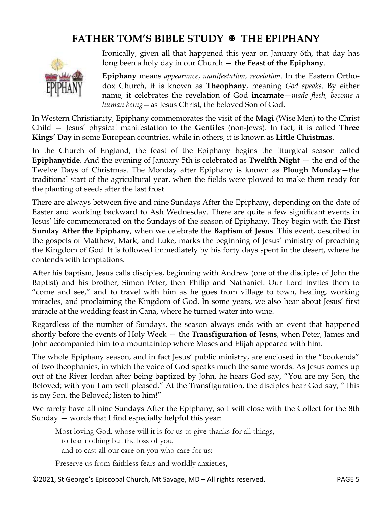## **FATHER TOM'S BIBLE STUDY THE EPIPHANY**



Ironically, given all that happened this year on January 6th, that day has long been a holy day in our Church — **the Feast of the Epiphany**.

**Epiphany** means *appearance*, *manifestation, revelation*. In the Eastern Orthodox Church, it is known as **Theophany**, meaning *God speaks*. By either name, it celebrates the revelation of God **incarnate**—*made flesh, become a human being*—as Jesus Christ, the beloved Son of God.

In Western Christianity, Epiphany commemorates the visit of the **Magi** (Wise Men) to the Christ Child — Jesus' physical manifestation to the **Gentiles** (non-Jews). In fact, it is called **Three Kings' Day** in some European countries, while in others, it is known as **Little Christmas**.

In the Church of England, the feast of the Epiphany begins the liturgical season called **Epiphanytide**. And the evening of January 5th is celebrated as **Twelfth Night** — the end of the Twelve Days of Christmas. The Monday after Epiphany is known as **Plough Monday**—the traditional start of the agricultural year, when the fields were plowed to make them ready for the planting of seeds after the last frost.

There are always between five and nine Sundays After the Epiphany, depending on the date of Easter and working backward to Ash Wednesday. There are quite a few significant events in Jesus' life commemorated on the Sundays of the season of Epiphany. They begin with the **First Sunday After the Epiphany**, when we celebrate the **Baptism of Jesus**. This event, described in the gospels of Matthew, Mark, and Luke, marks the beginning of Jesus' ministry of preaching the Kingdom of God. It is followed immediately by his forty days spent in the desert, where he contends with temptations.

After his baptism, Jesus calls disciples, beginning with Andrew (one of the disciples of John the Baptist) and his brother, Simon Peter, then Philip and Nathaniel. Our Lord invites them to "come and see," and to travel with him as he goes from village to town, healing, working miracles, and proclaiming the Kingdom of God. In some years, we also hear about Jesus' first miracle at the wedding feast in Cana, where he turned water into wine.

Regardless of the number of Sundays, the season always ends with an event that happened shortly before the events of Holy Week — the **Transfiguration of Jesus**, when Peter, James and John accompanied him to a mountaintop where Moses and Elijah appeared with him.

The whole Epiphany season, and in fact Jesus' public ministry, are enclosed in the "bookends" of two theophanies, in which the voice of God speaks much the same words. As Jesus comes up out of the River Jordan after being baptized by John, he hears God say, "You are my Son, the Beloved; with you I am well pleased." At the Transfiguration, the disciples hear God say, "This is my Son, the Beloved; listen to him!"

We rarely have all nine Sundays After the Epiphany, so I will close with the Collect for the 8th Sunday — words that I find especially helpful this year:

Most loving God, whose will it is for us to give thanks for all things, to fear nothing but the loss of you, and to cast all our care on you who care for us:

Preserve us from faithless fears and worldly anxieties,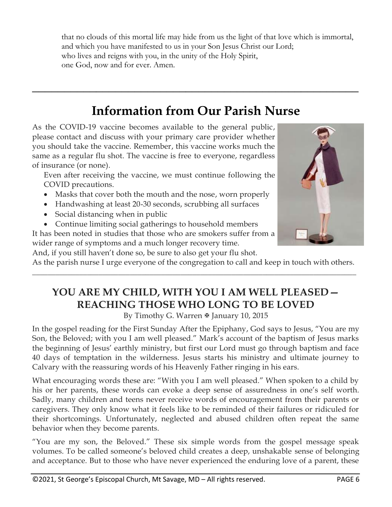that no clouds of this mortal life may hide from us the light of that love which is immortal, and which you have manifested to us in your Son Jesus Christ our Lord; who lives and reigns with you, in the unity of the Holy Spirit, one God, now and for ever. Amen.

## **Information from Our Parish Nurse**

**\_\_\_\_\_\_\_\_\_\_\_\_\_\_\_\_\_\_\_\_\_\_\_\_\_\_\_\_\_\_\_\_\_\_\_\_\_\_\_\_\_\_\_\_\_\_\_\_\_\_\_**

As the COVID-19 vaccine becomes available to the general public, please contact and discuss with your primary care provider whether you should take the vaccine. Remember, this vaccine works much the same as a regular flu shot. The vaccine is free to everyone, regardless of insurance (or none).

Even after receiving the vaccine, we must continue following the COVID precautions.

- Masks that cover both the mouth and the nose, worn properly
- Handwashing at least 20-30 seconds, scrubbing all surfaces
- Social distancing when in public
- Continue limiting social gatherings to household members

It has been noted in studies that those who are smokers suffer from a wider range of symptoms and a much longer recovery time.



And, if you still haven't done so, be sure to also get your flu shot. As the parish nurse I urge everyone of the congregation to call and keep in touch with others. \_\_\_\_\_\_\_\_\_\_\_\_\_\_\_\_\_\_\_\_\_\_\_\_\_\_\_\_\_\_\_\_\_\_\_\_\_\_\_\_\_\_\_\_\_\_\_\_\_\_\_\_\_\_\_\_\_\_\_\_\_\_\_\_\_\_\_\_\_\_\_\_\_\_\_\_\_\_\_\_\_\_\_

## **YOU ARE MY CHILD, WITH YOU I AM WELL PLEASED— REACHING THOSE WHO LONG TO BE LOVED**

By Timothy G. Warren & January 10, 2015

In the gospel reading for the First Sunday After the Epiphany, God says to Jesus, "You are my Son, the Beloved; with you I am well pleased." Mark's account of the baptism of Jesus marks the beginning of Jesus' earthly ministry, but first our Lord must go through baptism and face 40 days of temptation in the wilderness. Jesus starts his ministry and ultimate journey to Calvary with the reassuring words of his Heavenly Father ringing in his ears.

What encouraging words these are: "With you I am well pleased." When spoken to a child by his or her parents, these words can evoke a deep sense of assuredness in one's self worth. Sadly, many children and teens never receive words of encouragement from their parents or caregivers. They only know what it feels like to be reminded of their failures or ridiculed for their shortcomings. Unfortunately, neglected and abused children often repeat the same behavior when they become parents.

"You are my son, the Beloved." These six simple words from the gospel message speak volumes. To be called someone's beloved child creates a deep, unshakable sense of belonging and acceptance. But to those who have never experienced the enduring love of a parent, these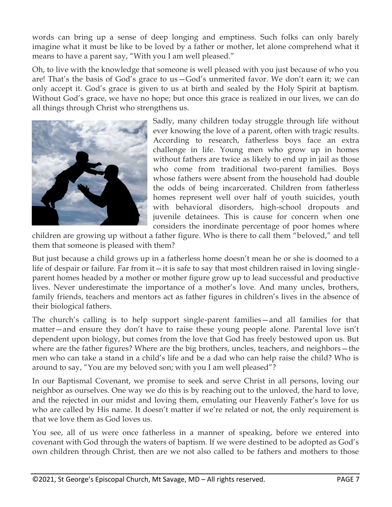words can bring up a sense of deep longing and emptiness. Such folks can only barely imagine what it must be like to be loved by a father or mother, let alone comprehend what it means to have a parent say, "With you I am well pleased."

Oh, to live with the knowledge that someone is well pleased with you just because of who you are! That's the basis of God's grace to us—God's unmerited favor. We don't earn it; we can only accept it. God's grace is given to us at birth and sealed by the Holy Spirit at baptism. Without God's grace, we have no hope; but once this grace is realized in our lives, we can do all things through Christ who strengthens us.



Sadly, many children today struggle through life without ever knowing the love of a parent, often with tragic results. According to research, fatherless boys face an extra challenge in life. Young men who grow up in homes without fathers are twice as likely to end up in jail as those who come from traditional two-parent families. Boys whose fathers were absent from the household had double the odds of being incarcerated. Children from fatherless homes represent well over half of youth suicides, youth with behavioral disorders, high-school dropouts and juvenile detainees. This is cause for concern when one considers the inordinate percentage of poor homes where

children are growing up without a father figure. Who is there to call them "beloved," and tell them that someone is pleased with them?

But just because a child grows up in a fatherless home doesn't mean he or she is doomed to a life of despair or failure. Far from it—it is safe to say that most children raised in loving singleparent homes headed by a mother or mother figure grow up to lead successful and productive lives. Never underestimate the importance of a mother's love. And many uncles, brothers, family friends, teachers and mentors act as father figures in children's lives in the absence of their biological fathers.

The church's calling is to help support single-parent families—and all families for that matter—and ensure they don't have to raise these young people alone. Parental love isn't dependent upon biology, but comes from the love that God has freely bestowed upon us. But where are the father figures? Where are the big brothers, uncles, teachers, and neighbors—the men who can take a stand in a child's life and be a dad who can help raise the child? Who is around to say, "You are my beloved son; with you I am well pleased"?

In our Baptismal Covenant, we promise to seek and serve Christ in all persons, loving our neighbor as ourselves. One way we do this is by reaching out to the unloved, the hard to love, and the rejected in our midst and loving them, emulating our Heavenly Father's love for us who are called by His name. It doesn't matter if we're related or not, the only requirement is that we love them as God loves us.

You see, all of us were once fatherless in a manner of speaking, before we entered into covenant with God through the waters of baptism. If we were destined to be adopted as God's own children through Christ, then are we not also called to be fathers and mothers to those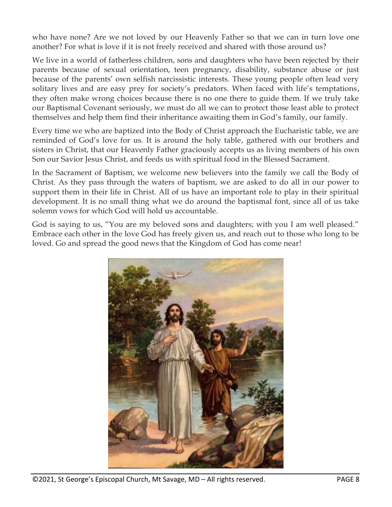who have none? Are we not loved by our Heavenly Father so that we can in turn love one another? For what is love if it is not freely received and shared with those around us?

We live in a world of fatherless children, sons and daughters who have been rejected by their parents because of sexual orientation, teen pregnancy, disability, substance abuse or just because of the parents' own selfish narcissistic interests. These young people often lead very solitary lives and are easy prey for society's predators. When faced with life's temptations, they often make wrong choices because there is no one there to guide them. If we truly take our Baptismal Covenant seriously, we must do all we can to protect those least able to protect themselves and help them find their inheritance awaiting them in God's family, our family.

Every time we who are baptized into the Body of Christ approach the Eucharistic table, we are reminded of God's love for us. It is around the holy table, gathered with our brothers and sisters in Christ, that our Heavenly Father graciously accepts us as living members of his own Son our Savior Jesus Christ, and feeds us with spiritual food in the Blessed Sacrament.

In the Sacrament of Baptism, we welcome new believers into the family we call the Body of Christ. As they pass through the waters of baptism, we are asked to do all in our power to support them in their life in Christ. All of us have an important role to play in their spiritual development. It is no small thing what we do around the baptismal font, since all of us take solemn vows for which God will hold us accountable.

God is saying to us, "You are my beloved sons and daughters; with you I am well pleased." Embrace each other in the love God has freely given us, and reach out to those who long to be loved. Go and spread the good news that the Kingdom of God has come near!



©2021, St George's Episcopal Church, Mt Savage, MD – All rights reserved. PAGE 8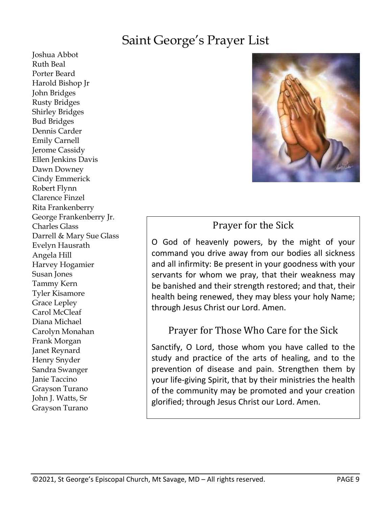## Saint George's Prayer List

Joshua Abbot Ruth Beal Porter Beard Harold Bishop Jr John Bridges Rusty Bridges Shirley Bridges Bud Bridges Dennis Carder Emily Carnell Jerome Cassidy Ellen Jenkins Davis Dawn Downey Cindy Emmerick Robert Flynn Clarence Finzel Rita Frankenberry George Frankenberry Jr. Charles Glass Darrell & Mary Sue Glass Evelyn Hausrath Angela Hill Harvey Hogamier Susan Jones Tammy Kern Tyler Kisamore Grace Lepley Carol McCleaf Diana Michael Carolyn Monahan Frank Morgan Janet Reynard Henry Snyder Sandra Swanger Janie Taccino Grayson Turano John J. Watts, Sr Grayson Turano



## Prayer for the Sick

O God of heavenly powers, by the might of your command you drive away from our bodies all sickness and all infirmity: Be present in your goodness with your servants for whom we pray, that their weakness may be banished and their strength restored; and that, their health being renewed, they may bless your holy Name; through Jesus Christ our Lord. Amen.

#### Prayer for Those Who Care for the Sick

Sanctify, O Lord, those whom you have called to the study and practice of the arts of healing, and to the prevention of disease and pain. Strengthen them by your life-giving Spirit, that by their ministries the health of the community may be promoted and your creation glorified; through Jesus Christ our Lord. Amen.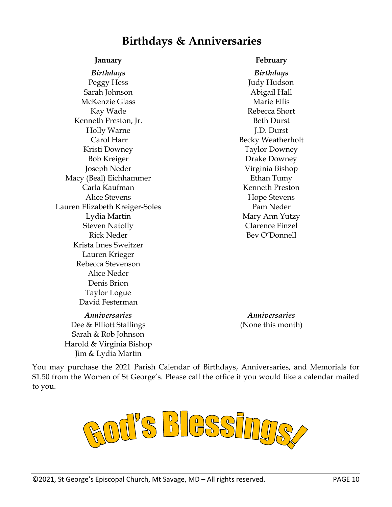## **Birthdays & Anniversaries**

Peggy Hess Sarah Johnson McKenzie Glass Kay Wade Kenneth Preston, Jr. Holly Warne Carol Harr Kristi Downey Bob Kreiger Joseph Neder Macy (Beal) Eichhammer Carla Kaufman Alice Stevens Lauren Elizabeth Kreiger-Soles Lydia Martin Steven Natolly Rick Neder Krista Imes Sweitzer Lauren Krieger Rebecca Stevenson Alice Neder Denis Brion Taylor Logue David Festerman

*Anniversaries Anniversaries* Dee & Elliott Stallings Sarah & Rob Johnson Harold & Virginia Bishop Jim & Lydia Martin

#### **January February**

*Birthdays Birthdays* Judy Hudson Abigail Hall Marie Ellis Rebecca Short Beth Durst J.D. Durst Becky Weatherholt Taylor Downey Drake Downey Virginia Bishop Ethan Tumy Kenneth Preston Hope Stevens Pam Neder Mary Ann Yutzy Clarence Finzel Bev O'Donnell

(None this month)

You may purchase the 2021 Parish Calendar of Birthdays, Anniversaries, and Memorials for \$1.50 from the Women of St George's. Please call the office if you would like a calendar mailed to you.

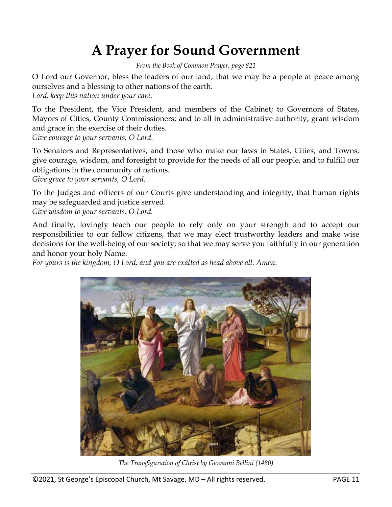## **A Prayer for Sound Government**

*From the Book of Common Prayer, page 821*

O Lord our Governor, bless the leaders of our land, that we may be a people at peace among ourselves and a blessing to other nations of the earth.

*Lord, keep this nation under your care.*

To the President, the Vice President, and members of the Cabinet; to Governors of States, Mayors of Cities, County Commissioners; and to all in administrative authority, grant wisdom and grace in the exercise of their duties.

*Give courage to your servants, O Lord.*

To Senators and Representatives, and those who make our laws in States, Cities, and Towns, give courage, wisdom, and foresight to provide for the needs of all our people, and to fulfill our obligations in the community of nations.

*Give grace to your servants, O Lord.*

To the Judges and officers of our Courts give understanding and integrity, that human rights may be safeguarded and justice served.

*Give wisdom to your servants, O Lord.*

And finally, lovingly teach our people to rely only on your strength and to accept our responsibilities to our fellow citizens, that we may elect trustworthy leaders and make wise decisions for the well-being of our society; so that we may serve you faithfully in our generation and honor your holy Name.

*For yours is the kingdom, O Lord, and you are exalted as head above all. Amen.*



*The Transfiguration of Christ by Giovanni Bellini (1480)*